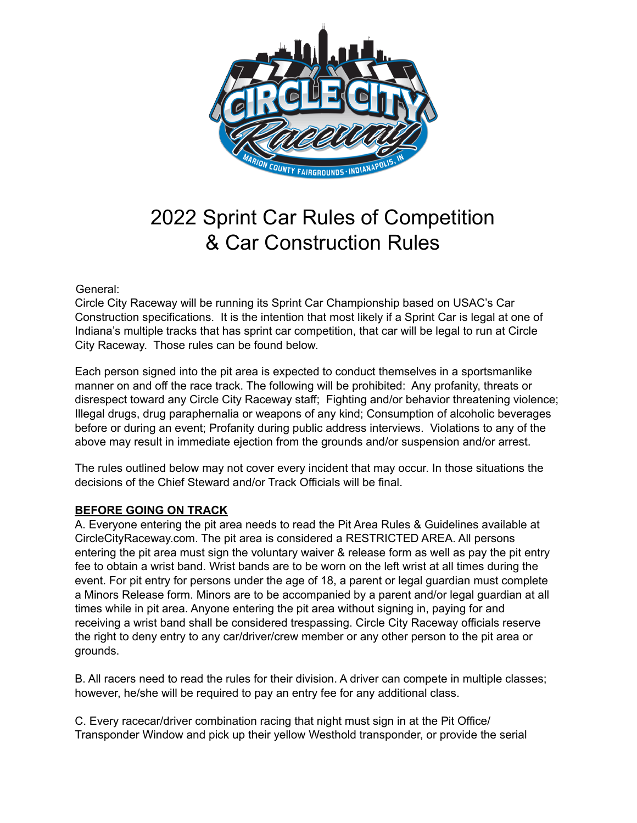

# 2022 Sprint Car Rules of Competition & Car Construction Rules

General:

Circle City Raceway will be running its Sprint Car Championship based on USAC's Car Construction specifications. It is the intention that most likely if a Sprint Car is legal at one of Indiana's multiple tracks that has sprint car competition, that car will be legal to run at Circle City Raceway. Those rules can be found below.

Each person signed into the pit area is expected to conduct themselves in a sportsmanlike manner on and off the race track. The following will be prohibited: Any profanity, threats or disrespect toward any Circle City Raceway staff; Fighting and/or behavior threatening violence; Illegal drugs, drug paraphernalia or weapons of any kind; Consumption of alcoholic beverages before or during an event; Profanity during public address interviews. Violations to any of the above may result in immediate ejection from the grounds and/or suspension and/or arrest.

The rules outlined below may not cover every incident that may occur. In those situations the decisions of the Chief Steward and/or Track Officials will be final.

## **BEFORE GOING ON TRACK**

A. Everyone entering the pit area needs to read the Pit Area Rules & Guidelines available at CircleCityRaceway.com. The pit area is considered a RESTRICTED AREA. All persons entering the pit area must sign the voluntary waiver & release form as well as pay the pit entry fee to obtain a wrist band. Wrist bands are to be worn on the left wrist at all times during the event. For pit entry for persons under the age of 18, a parent or legal guardian must complete a Minors Release form. Minors are to be accompanied by a parent and/or legal guardian at all times while in pit area. Anyone entering the pit area without signing in, paying for and receiving a wrist band shall be considered trespassing. Circle City Raceway officials reserve the right to deny entry to any car/driver/crew member or any other person to the pit area or grounds.

B. All racers need to read the rules for their division. A driver can compete in multiple classes; however, he/she will be required to pay an entry fee for any additional class.

C. Every racecar/driver combination racing that night must sign in at the Pit Office/ Transponder Window and pick up their yellow Westhold transponder, or provide the serial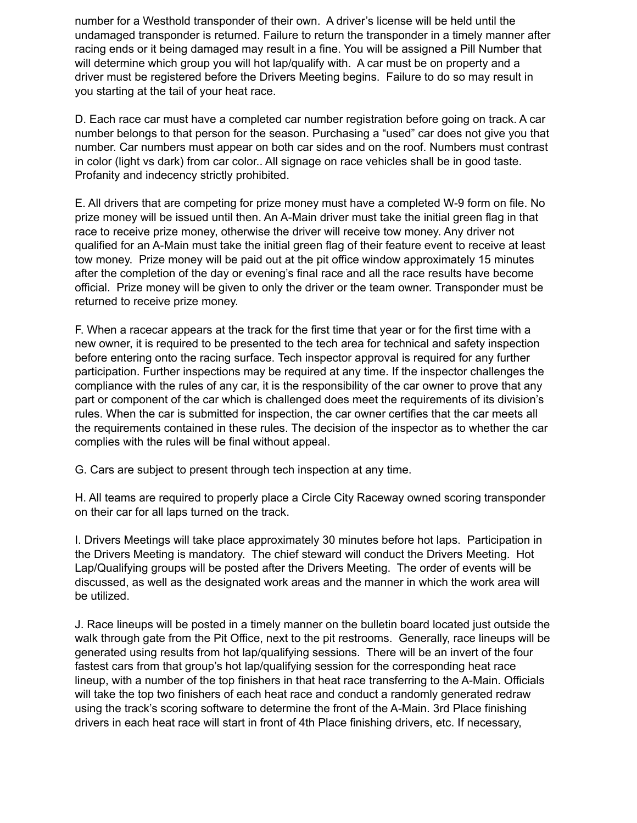number for a Westhold transponder of their own. A driver's license will be held until the undamaged transponder is returned. Failure to return the transponder in a timely manner after racing ends or it being damaged may result in a fine. You will be assigned a Pill Number that will determine which group you will hot lap/qualify with. A car must be on property and a driver must be registered before the Drivers Meeting begins. Failure to do so may result in you starting at the tail of your heat race.

D. Each race car must have a completed car number registration before going on track. A car number belongs to that person for the season. Purchasing a "used" car does not give you that number. Car numbers must appear on both car sides and on the roof. Numbers must contrast in color (light vs dark) from car color.. All signage on race vehicles shall be in good taste. Profanity and indecency strictly prohibited.

E. All drivers that are competing for prize money must have a completed W-9 form on file. No prize money will be issued until then. An A-Main driver must take the initial green flag in that race to receive prize money, otherwise the driver will receive tow money. Any driver not qualified for an A-Main must take the initial green flag of their feature event to receive at least tow money. Prize money will be paid out at the pit office window approximately 15 minutes after the completion of the day or evening's final race and all the race results have become official. Prize money will be given to only the driver or the team owner. Transponder must be returned to receive prize money.

F. When a racecar appears at the track for the first time that year or for the first time with a new owner, it is required to be presented to the tech area for technical and safety inspection before entering onto the racing surface. Tech inspector approval is required for any further participation. Further inspections may be required at any time. If the inspector challenges the compliance with the rules of any car, it is the responsibility of the car owner to prove that any part or component of the car which is challenged does meet the requirements of its division's rules. When the car is submitted for inspection, the car owner certifies that the car meets all the requirements contained in these rules. The decision of the inspector as to whether the car complies with the rules will be final without appeal.

G. Cars are subject to present through tech inspection at any time.

H. All teams are required to properly place a Circle City Raceway owned scoring transponder on their car for all laps turned on the track.

I. Drivers Meetings will take place approximately 30 minutes before hot laps. Participation in the Drivers Meeting is mandatory. The chief steward will conduct the Drivers Meeting. Hot Lap/Qualifying groups will be posted after the Drivers Meeting. The order of events will be discussed, as well as the designated work areas and the manner in which the work area will be utilized.

J. Race lineups will be posted in a timely manner on the bulletin board located just outside the walk through gate from the Pit Office, next to the pit restrooms. Generally, race lineups will be generated using results from hot lap/qualifying sessions. There will be an invert of the four fastest cars from that group's hot lap/qualifying session for the corresponding heat race lineup, with a number of the top finishers in that heat race transferring to the A-Main. Officials will take the top two finishers of each heat race and conduct a randomly generated redraw using the track's scoring software to determine the front of the A-Main. 3rd Place finishing drivers in each heat race will start in front of 4th Place finishing drivers, etc. If necessary,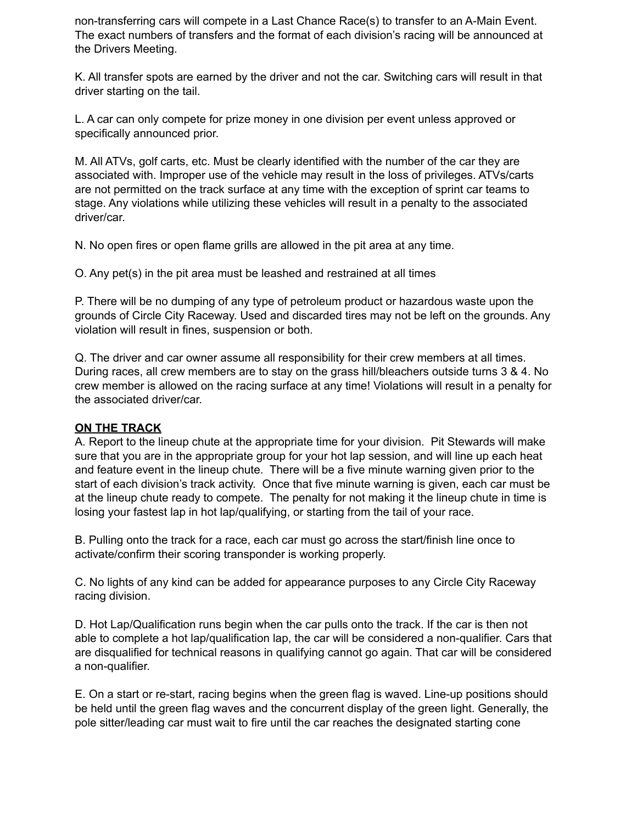non-transferring cars will compete in a Last Chance Race(s) to transfer to an A-Main Event. The exact numbers of transfers and the format of each division's racing will be announced at the Drivers Meeting.

K. All transfer spots are earned by the driver and not the car. Switching cars will result in that driver starting on the tail.

L. A car can only compete for prize money in one division per event unless approved or specifically announced prior.

M. All ATVs, golf carts, etc. Must be clearly identified with the number of the car they are associated with. Improper use of the vehicle may result in the loss of privileges. ATVs/carts are not permitted on the track surface at any time with the exception of sprint car teams to stage. Any violations while utilizing these vehicles will result in a penalty to the associated driver/car.

N. No open fires or open flame grills are allowed in the pit area at any time.

O. Any pet(s) in the pit area must be leashed and restrained at all times

P. There will be no dumping of any type of petroleum product or hazardous waste upon the grounds of Circle City Raceway. Used and discarded tires may not be left on the grounds. Any violation will result in fines, suspension or both.

Q. The driver and car owner assume all responsibility for their crew members at all times. During races, all crew members are to stay on the grass hill/bleachers outside turns 3 & 4. No crew member is allowed on the racing surface at any time! Violations will result in a penalty for the associated driver/car.

#### **ON THE TRACK**

A. Report to the lineup chute at the appropriate time for your division. Pit Stewards will make sure that you are in the appropriate group for your hot lap session, and will line up each heat and feature event in the lineup chute. There will be a five minute warning given prior to the start of each division's track activity. Once that five minute warning is given, each car must be at the lineup chute ready to compete. The penalty for not making it the lineup chute in time is losing your fastest lap in hot lap/qualifying, or starting from the tail of your race.

B. Pulling onto the track for a race, each car must go across the start/finish line once to activate/confirm their scoring transponder is working properly.

C. No lights of any kind can be added for appearance purposes to any Circle City Raceway racing division.

D. Hot Lap/Qualification runs begin when the car pulls onto the track. If the car is then not able to complete a hot lap/qualification lap, the car will be considered a non-qualifier. Cars that are disqualified for technical reasons in qualifying cannot go again. That car will be considered a non-qualifier.

E. On a start or re-start, racing begins when the green flag is waved. Line-up positions should be held until the green flag waves and the concurrent display of the green light. Generally, the pole sitter/leading car must wait to fire until the car reaches the designated starting cone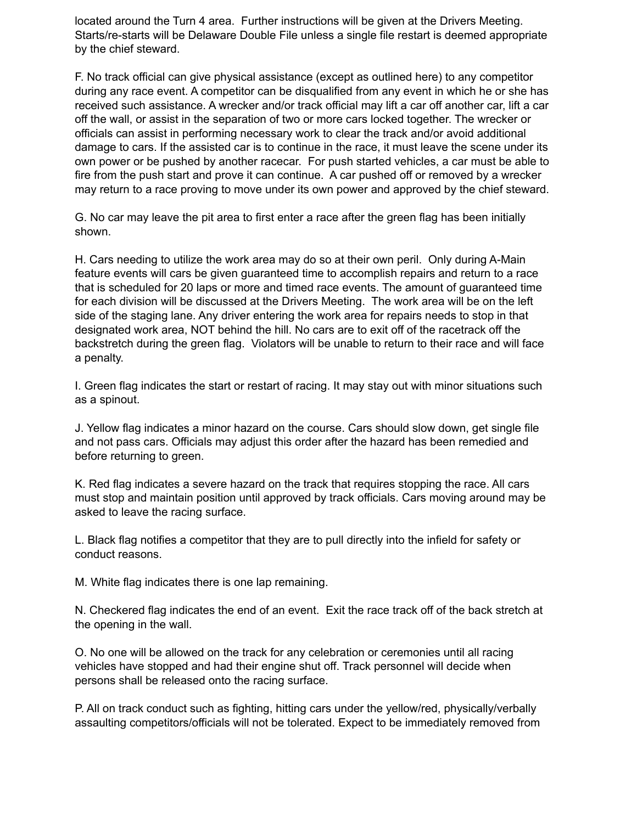located around the Turn 4 area. Further instructions will be given at the Drivers Meeting. Starts/re-starts will be Delaware Double File unless a single file restart is deemed appropriate by the chief steward.

F. No track official can give physical assistance (except as outlined here) to any competitor during any race event. A competitor can be disqualified from any event in which he or she has received such assistance. A wrecker and/or track official may lift a car off another car, lift a car off the wall, or assist in the separation of two or more cars locked together. The wrecker or officials can assist in performing necessary work to clear the track and/or avoid additional damage to cars. If the assisted car is to continue in the race, it must leave the scene under its own power or be pushed by another racecar. For push started vehicles, a car must be able to fire from the push start and prove it can continue. A car pushed off or removed by a wrecker may return to a race proving to move under its own power and approved by the chief steward.

G. No car may leave the pit area to first enter a race after the green flag has been initially shown.

H. Cars needing to utilize the work area may do so at their own peril. Only during A-Main feature events will cars be given guaranteed time to accomplish repairs and return to a race that is scheduled for 20 laps or more and timed race events. The amount of guaranteed time for each division will be discussed at the Drivers Meeting. The work area will be on the left side of the staging lane. Any driver entering the work area for repairs needs to stop in that designated work area, NOT behind the hill. No cars are to exit off of the racetrack off the backstretch during the green flag. Violators will be unable to return to their race and will face a penalty.

I. Green flag indicates the start or restart of racing. It may stay out with minor situations such as a spinout.

J. Yellow flag indicates a minor hazard on the course. Cars should slow down, get single file and not pass cars. Officials may adjust this order after the hazard has been remedied and before returning to green.

K. Red flag indicates a severe hazard on the track that requires stopping the race. All cars must stop and maintain position until approved by track officials. Cars moving around may be asked to leave the racing surface.

L. Black flag notifies a competitor that they are to pull directly into the infield for safety or conduct reasons.

M. White flag indicates there is one lap remaining.

N. Checkered flag indicates the end of an event. Exit the race track off of the back stretch at the opening in the wall.

O. No one will be allowed on the track for any celebration or ceremonies until all racing vehicles have stopped and had their engine shut off. Track personnel will decide when persons shall be released onto the racing surface.

P. All on track conduct such as fighting, hitting cars under the yellow/red, physically/verbally assaulting competitors/officials will not be tolerated. Expect to be immediately removed from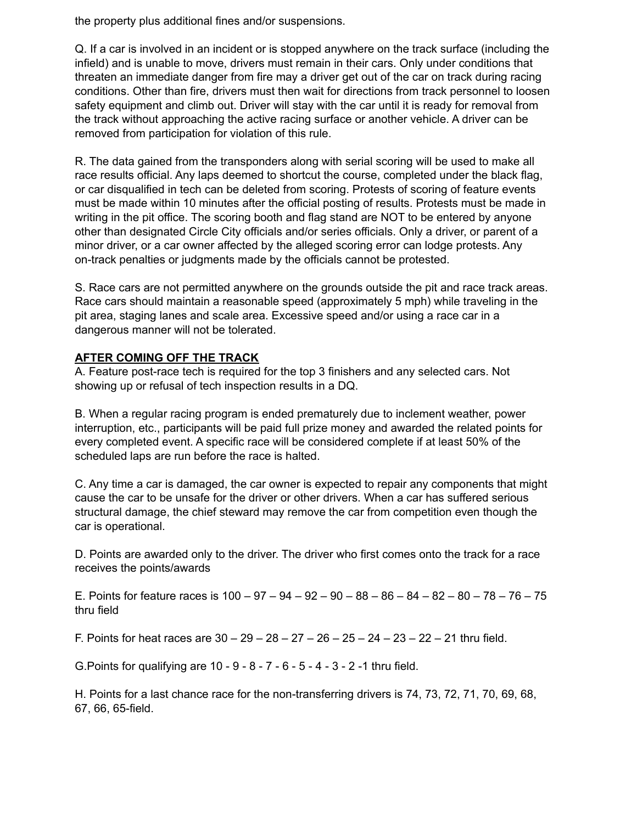the property plus additional fines and/or suspensions.

Q. If a car is involved in an incident or is stopped anywhere on the track surface (including the infield) and is unable to move, drivers must remain in their cars. Only under conditions that threaten an immediate danger from fire may a driver get out of the car on track during racing conditions. Other than fire, drivers must then wait for directions from track personnel to loosen safety equipment and climb out. Driver will stay with the car until it is ready for removal from the track without approaching the active racing surface or another vehicle. A driver can be removed from participation for violation of this rule.

R. The data gained from the transponders along with serial scoring will be used to make all race results official. Any laps deemed to shortcut the course, completed under the black flag, or car disqualified in tech can be deleted from scoring. Protests of scoring of feature events must be made within 10 minutes after the official posting of results. Protests must be made in writing in the pit office. The scoring booth and flag stand are NOT to be entered by anyone other than designated Circle City officials and/or series officials. Only a driver, or parent of a minor driver, or a car owner affected by the alleged scoring error can lodge protests. Any on-track penalties or judgments made by the officials cannot be protested.

S. Race cars are not permitted anywhere on the grounds outside the pit and race track areas. Race cars should maintain a reasonable speed (approximately 5 mph) while traveling in the pit area, staging lanes and scale area. Excessive speed and/or using a race car in a dangerous manner will not be tolerated.

#### **AFTER COMING OFF THE TRACK**

A. Feature post-race tech is required for the top 3 finishers and any selected cars. Not showing up or refusal of tech inspection results in a DQ.

B. When a regular racing program is ended prematurely due to inclement weather, power interruption, etc., participants will be paid full prize money and awarded the related points for every completed event. A specific race will be considered complete if at least 50% of the scheduled laps are run before the race is halted.

C. Any time a car is damaged, the car owner is expected to repair any components that might cause the car to be unsafe for the driver or other drivers. When a car has suffered serious structural damage, the chief steward may remove the car from competition even though the car is operational.

D. Points are awarded only to the driver. The driver who first comes onto the track for a race receives the points/awards

E. Points for feature races is  $100 - 97 - 94 - 92 - 90 - 88 - 86 - 84 - 82 - 80 - 78 - 76 - 75$ thru field

F. Points for heat races are  $30 - 29 - 28 - 27 - 26 - 25 - 24 - 23 - 22 - 21$  thru field.

G.Points for qualifying are 10 - 9 - 8 - 7 - 6 - 5 - 4 - 3 - 2 -1 thru field.

H. Points for a last chance race for the non-transferring drivers is 74, 73, 72, 71, 70, 69, 68, 67, 66, 65-field.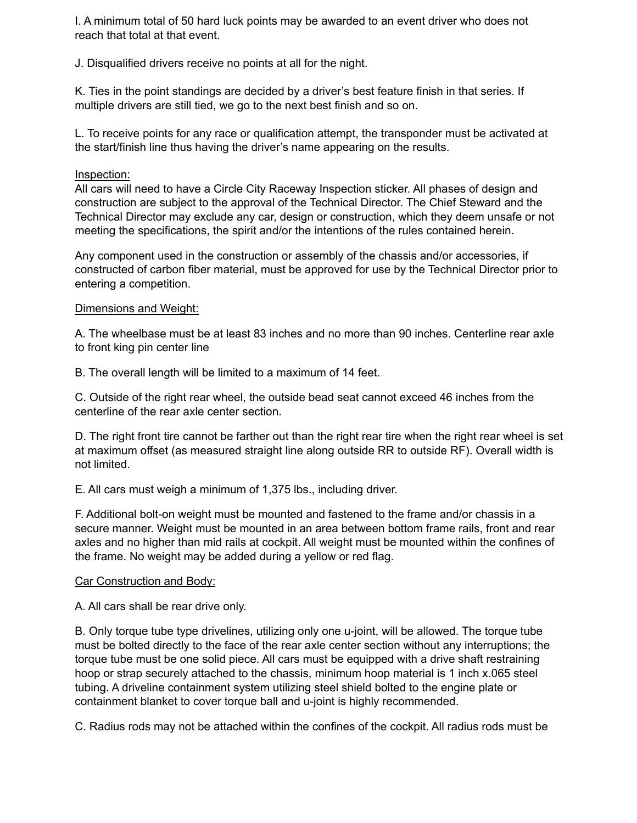I. A minimum total of 50 hard luck points may be awarded to an event driver who does not reach that total at that event.

J. Disqualified drivers receive no points at all for the night.

K. Ties in the point standings are decided by a driver's best feature finish in that series. If multiple drivers are still tied, we go to the next best finish and so on.

L. To receive points for any race or qualification attempt, the transponder must be activated at the start/finish line thus having the driver's name appearing on the results.

#### Inspection:

All cars will need to have a Circle City Raceway Inspection sticker. All phases of design and construction are subject to the approval of the Technical Director. The Chief Steward and the Technical Director may exclude any car, design or construction, which they deem unsafe or not meeting the specifications, the spirit and/or the intentions of the rules contained herein.

Any component used in the construction or assembly of the chassis and/or accessories, if constructed of carbon fiber material, must be approved for use by the Technical Director prior to entering a competition.

#### Dimensions and Weight:

A. The wheelbase must be at least 83 inches and no more than 90 inches. Centerline rear axle to front king pin center line

B. The overall length will be limited to a maximum of 14 feet.

C. Outside of the right rear wheel, the outside bead seat cannot exceed 46 inches from the centerline of the rear axle center section.

D. The right front tire cannot be farther out than the right rear tire when the right rear wheel is set at maximum offset (as measured straight line along outside RR to outside RF). Overall width is not limited.

E. All cars must weigh a minimum of 1,375 lbs., including driver.

F. Additional bolt-on weight must be mounted and fastened to the frame and/or chassis in a secure manner. Weight must be mounted in an area between bottom frame rails, front and rear axles and no higher than mid rails at cockpit. All weight must be mounted within the confines of the frame. No weight may be added during a yellow or red flag.

## Car Construction and Body:

A. All cars shall be rear drive only.

B. Only torque tube type drivelines, utilizing only one u-joint, will be allowed. The torque tube must be bolted directly to the face of the rear axle center section without any interruptions; the torque tube must be one solid piece. All cars must be equipped with a drive shaft restraining hoop or strap securely attached to the chassis, minimum hoop material is 1 inch x.065 steel tubing. A driveline containment system utilizing steel shield bolted to the engine plate or containment blanket to cover torque ball and u-joint is highly recommended.

C. Radius rods may not be attached within the confines of the cockpit. All radius rods must be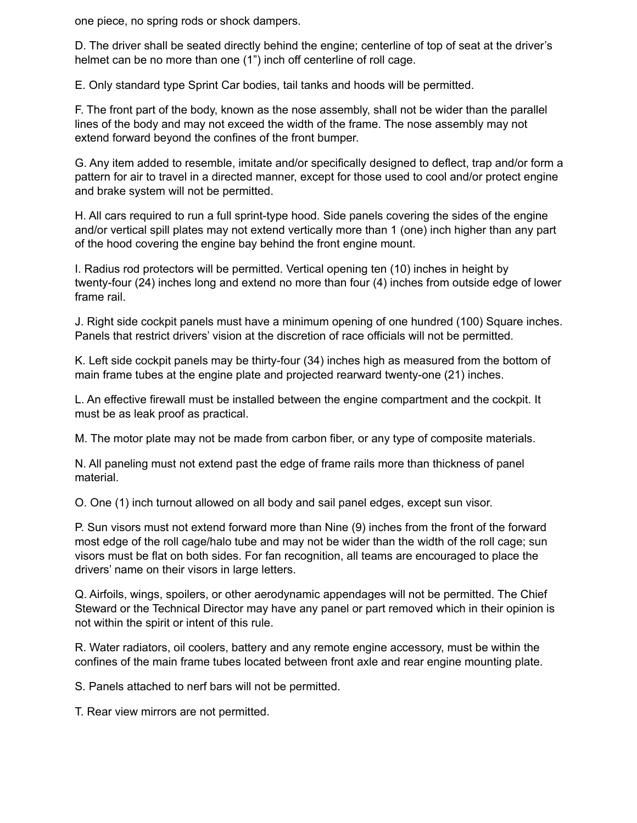one piece, no spring rods or shock dampers.

D. The driver shall be seated directly behind the engine; centerline of top of seat at the driver's helmet can be no more than one (1") inch off centerline of roll cage.

E. Only standard type Sprint Car bodies, tail tanks and hoods will be permitted.

F. The front part of the body, known as the nose assembly, shall not be wider than the parallel lines of the body and may not exceed the width of the frame. The nose assembly may not extend forward beyond the confines of the front bumper.

G. Any item added to resemble, imitate and/or specifically designed to deflect, trap and/or form a pattern for air to travel in a directed manner, except for those used to cool and/or protect engine and brake system will not be permitted.

H. All cars required to run a full sprint-type hood. Side panels covering the sides of the engine and/or vertical spill plates may not extend vertically more than 1 (one) inch higher than any part of the hood covering the engine bay behind the front engine mount.

I. Radius rod protectors will be permitted. Vertical opening ten (10) inches in height by twenty-four (24) inches long and extend no more than four (4) inches from outside edge of lower frame rail.

J. Right side cockpit panels must have a minimum opening of one hundred (100) Square inches. Panels that restrict drivers' vision at the discretion of race officials will not be permitted.

K. Left side cockpit panels may be thirty-four (34) inches high as measured from the bottom of main frame tubes at the engine plate and projected rearward twenty-one (21) inches.

L. An effective firewall must be installed between the engine compartment and the cockpit. It must be as leak proof as practical.

M. The motor plate may not be made from carbon fiber, or any type of composite materials.

N. All paneling must not extend past the edge of frame rails more than thickness of panel material.

O. One (1) inch turnout allowed on all body and sail panel edges, except sun visor.

P. Sun visors must not extend forward more than Nine (9) inches from the front of the forward most edge of the roll cage/halo tube and may not be wider than the width of the roll cage; sun visors must be flat on both sides. For fan recognition, all teams are encouraged to place the drivers' name on their visors in large letters.

Q. Airfoils, wings, spoilers, or other aerodynamic appendages will not be permitted. The Chief Steward or the Technical Director may have any panel or part removed which in their opinion is not within the spirit or intent of this rule.

R. Water radiators, oil coolers, battery and any remote engine accessory, must be within the confines of the main frame tubes located between front axle and rear engine mounting plate.

S. Panels attached to nerf bars will not be permitted.

T. Rear view mirrors are not permitted.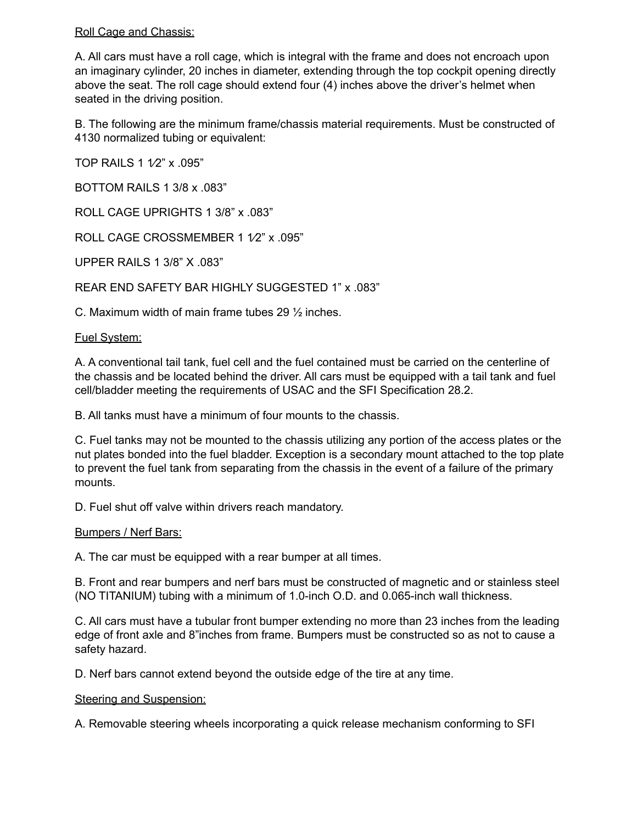#### Roll Cage and Chassis:

A. All cars must have a roll cage, which is integral with the frame and does not encroach upon an imaginary cylinder, 20 inches in diameter, extending through the top cockpit opening directly above the seat. The roll cage should extend four (4) inches above the driver's helmet when seated in the driving position.

B. The following are the minimum frame/chassis material requirements. Must be constructed of 4130 normalized tubing or equivalent:

TOP RAILS 1 1/2" x .095"

BOTTOM RAILS 1 3/8 x .083"

ROLL CAGE UPRIGHTS 1 3/8" x .083"

ROLL CAGE CROSSMEMBER 1 1/2" x .095"

UPPER RAILS 1 3/8" X .083"

REAR END SAFETY BAR HIGHLY SUGGESTED 1" x .083"

C. Maximum width of main frame tubes 29 ½ inches.

#### Fuel System:

A. A conventional tail tank, fuel cell and the fuel contained must be carried on the centerline of the chassis and be located behind the driver. All cars must be equipped with a tail tank and fuel cell/bladder meeting the requirements of USAC and the SFI Specification 28.2.

B. All tanks must have a minimum of four mounts to the chassis.

C. Fuel tanks may not be mounted to the chassis utilizing any portion of the access plates or the nut plates bonded into the fuel bladder. Exception is a secondary mount attached to the top plate to prevent the fuel tank from separating from the chassis in the event of a failure of the primary mounts.

D. Fuel shut off valve within drivers reach mandatory.

#### Bumpers / Nerf Bars:

A. The car must be equipped with a rear bumper at all times.

B. Front and rear bumpers and nerf bars must be constructed of magnetic and or stainless steel (NO TITANIUM) tubing with a minimum of 1.0-inch O.D. and 0.065-inch wall thickness.

C. All cars must have a tubular front bumper extending no more than 23 inches from the leading edge of front axle and 8"inches from frame. Bumpers must be constructed so as not to cause a safety hazard.

D. Nerf bars cannot extend beyond the outside edge of the tire at any time.

#### Steering and Suspension:

A. Removable steering wheels incorporating a quick release mechanism conforming to SFI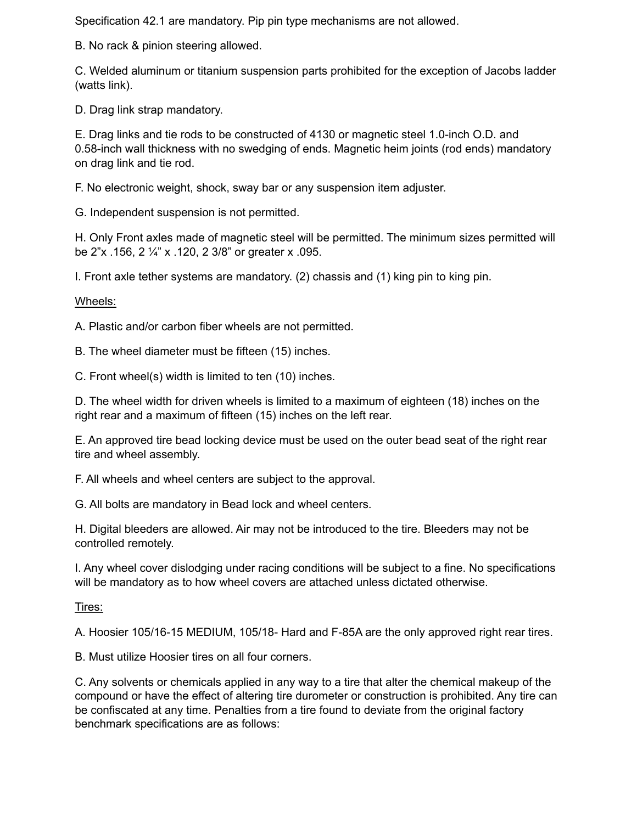Specification 42.1 are mandatory. Pip pin type mechanisms are not allowed.

B. No rack & pinion steering allowed.

C. Welded aluminum or titanium suspension parts prohibited for the exception of Jacobs ladder (watts link).

D. Drag link strap mandatory.

E. Drag links and tie rods to be constructed of 4130 or magnetic steel 1.0-inch O.D. and 0.58-inch wall thickness with no swedging of ends. Magnetic heim joints (rod ends) mandatory on drag link and tie rod.

F. No electronic weight, shock, sway bar or any suspension item adjuster.

G. Independent suspension is not permitted.

H. Only Front axles made of magnetic steel will be permitted. The minimum sizes permitted will be 2"x .156, 2 ¼" x .120, 2 3/8" or greater x .095.

I. Front axle tether systems are mandatory. (2) chassis and (1) king pin to king pin.

Wheels:

A. Plastic and/or carbon fiber wheels are not permitted.

B. The wheel diameter must be fifteen (15) inches.

C. Front wheel(s) width is limited to ten (10) inches.

D. The wheel width for driven wheels is limited to a maximum of eighteen (18) inches on the right rear and a maximum of fifteen (15) inches on the left rear.

E. An approved tire bead locking device must be used on the outer bead seat of the right rear tire and wheel assembly.

F. All wheels and wheel centers are subject to the approval.

G. All bolts are mandatory in Bead lock and wheel centers.

H. Digital bleeders are allowed. Air may not be introduced to the tire. Bleeders may not be controlled remotely.

I. Any wheel cover dislodging under racing conditions will be subject to a fine. No specifications will be mandatory as to how wheel covers are attached unless dictated otherwise.

Tires:

A. Hoosier 105/16-15 MEDIUM, 105/18- Hard and F-85A are the only approved right rear tires.

B. Must utilize Hoosier tires on all four corners.

C. Any solvents or chemicals applied in any way to a tire that alter the chemical makeup of the compound or have the effect of altering tire durometer or construction is prohibited. Any tire can be confiscated at any time. Penalties from a tire found to deviate from the original factory benchmark specifications are as follows: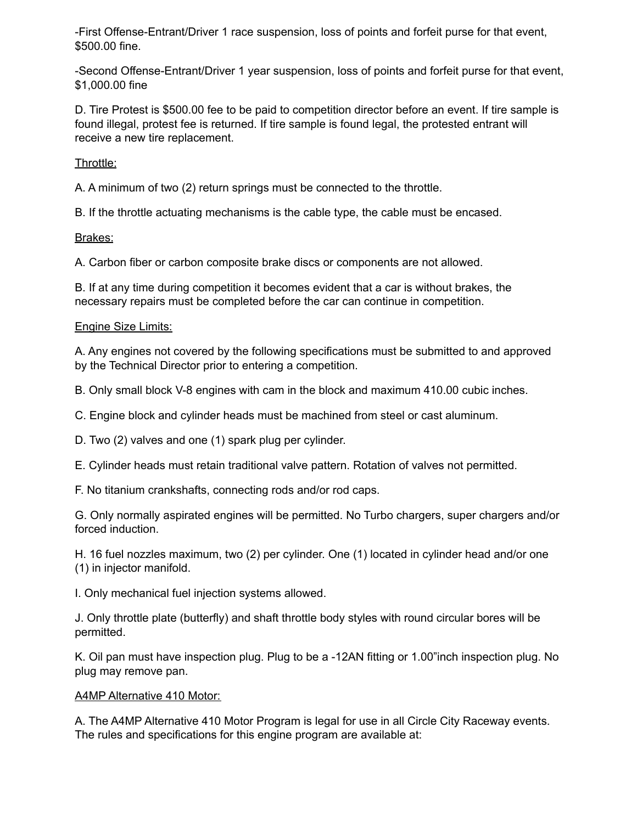-First Offense-Entrant/Driver 1 race suspension, loss of points and forfeit purse for that event, \$500.00 fine.

-Second Offense-Entrant/Driver 1 year suspension, loss of points and forfeit purse for that event, \$1,000.00 fine

D. Tire Protest is \$500.00 fee to be paid to competition director before an event. If tire sample is found illegal, protest fee is returned. If tire sample is found legal, the protested entrant will receive a new tire replacement.

Throttle:

A. A minimum of two (2) return springs must be connected to the throttle.

B. If the throttle actuating mechanisms is the cable type, the cable must be encased.

Brakes:

A. Carbon fiber or carbon composite brake discs or components are not allowed.

B. If at any time during competition it becomes evident that a car is without brakes, the necessary repairs must be completed before the car can continue in competition.

#### Engine Size Limits:

A. Any engines not covered by the following specifications must be submitted to and approved by the Technical Director prior to entering a competition.

B. Only small block V-8 engines with cam in the block and maximum 410.00 cubic inches.

C. Engine block and cylinder heads must be machined from steel or cast aluminum.

D. Two (2) valves and one (1) spark plug per cylinder.

E. Cylinder heads must retain traditional valve pattern. Rotation of valves not permitted.

F. No titanium crankshafts, connecting rods and/or rod caps.

G. Only normally aspirated engines will be permitted. No Turbo chargers, super chargers and/or forced induction.

H. 16 fuel nozzles maximum, two (2) per cylinder. One (1) located in cylinder head and/or one (1) in injector manifold.

I. Only mechanical fuel injection systems allowed.

J. Only throttle plate (butterfly) and shaft throttle body styles with round circular bores will be permitted.

K. Oil pan must have inspection plug. Plug to be a -12AN fitting or 1.00"inch inspection plug. No plug may remove pan.

#### A4MP Alternative 410 Motor:

A. The A4MP Alternative 410 Motor Program is legal for use in all Circle City Raceway events. The rules and specifications for this engine program are available at: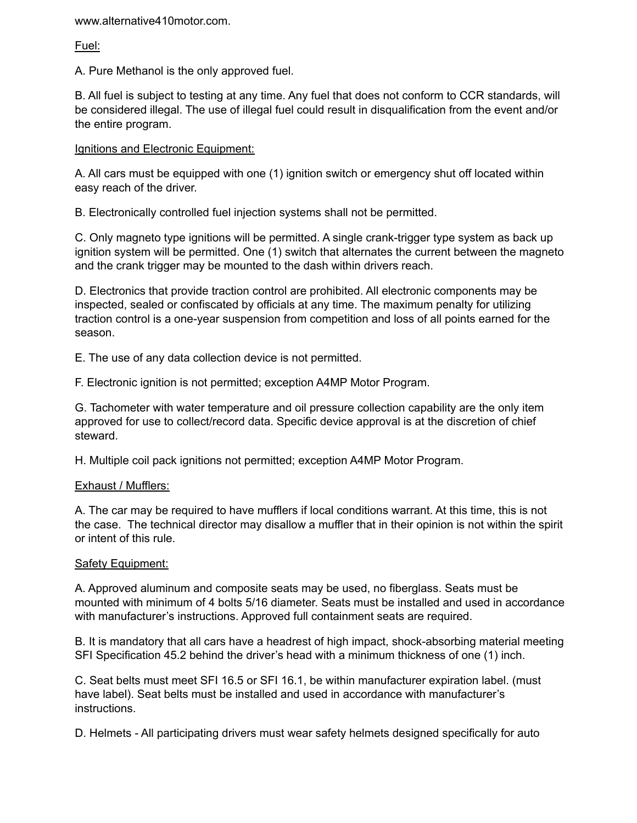www.alternative410motor.com.

Fuel:

A. Pure Methanol is the only approved fuel.

B. All fuel is subject to testing at any time. Any fuel that does not conform to CCR standards, will be considered illegal. The use of illegal fuel could result in disqualification from the event and/or the entire program.

### Ignitions and Electronic Equipment:

A. All cars must be equipped with one (1) ignition switch or emergency shut off located within easy reach of the driver.

B. Electronically controlled fuel injection systems shall not be permitted.

C. Only magneto type ignitions will be permitted. A single crank-trigger type system as back up ignition system will be permitted. One (1) switch that alternates the current between the magneto and the crank trigger may be mounted to the dash within drivers reach.

D. Electronics that provide traction control are prohibited. All electronic components may be inspected, sealed or confiscated by officials at any time. The maximum penalty for utilizing traction control is a one-year suspension from competition and loss of all points earned for the season.

E. The use of any data collection device is not permitted.

F. Electronic ignition is not permitted; exception A4MP Motor Program.

G. Tachometer with water temperature and oil pressure collection capability are the only item approved for use to collect/record data. Specific device approval is at the discretion of chief steward.

H. Multiple coil pack ignitions not permitted; exception A4MP Motor Program.

## Exhaust / Mufflers:

A. The car may be required to have mufflers if local conditions warrant. At this time, this is not the case. The technical director may disallow a muffler that in their opinion is not within the spirit or intent of this rule.

#### Safety Equipment:

A. Approved aluminum and composite seats may be used, no fiberglass. Seats must be mounted with minimum of 4 bolts 5/16 diameter. Seats must be installed and used in accordance with manufacturer's instructions. Approved full containment seats are required.

B. It is mandatory that all cars have a headrest of high impact, shock-absorbing material meeting SFI Specification 45.2 behind the driver's head with a minimum thickness of one (1) inch.

C. Seat belts must meet SFI 16.5 or SFI 16.1, be within manufacturer expiration label. (must have label). Seat belts must be installed and used in accordance with manufacturer's instructions.

D. Helmets - All participating drivers must wear safety helmets designed specifically for auto